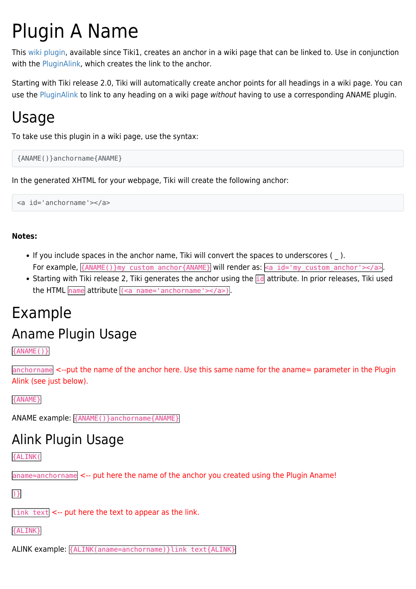## Plugin A Name

This [wiki plugin,](https://doc.tiki.org/wiki%20plugin) available since Tiki1, creates an anchor in a wiki page that can be linked to. Use in conjunction with the [PluginAlink](https://doc.tiki.org/PluginAlink), which creates the link to the anchor.

Starting with Tiki release 2.0, Tiki will automatically create anchor points for all headings in a wiki page. You can use the [PluginAlink](https://doc.tiki.org/PluginAlink) to link to any heading on a wiki page without having to use a corresponding ANAME plugin.

#### Usage

To take use this plugin in a wiki page, use the syntax:

```
{ANAME()}anchorname{ANAME}
```
In the generated XHTML for your webpage, Tiki will create the following anchor:

<a id='anchorname'></a>

#### **Notes:**

- If you include spaces in the anchor name, Tiki will convert the spaces to underscores (). For example,  $\{ANAME() \}$ my custom anchor $\{ANAME\}$  will render as:  $\langle a \text{ id='my custom anchor'} \rangle$  anchor'> $\langle a \rangle$ .
- Starting with Tiki release 2, Tiki generates the anchor using the  $\frac{1}{10}$  attribute. In prior releases, Tiki used the HTML  $n$  name attribute  $(2a$  name='anchorname'> $2a$ ).

# Example

## Aname Plugin Usage

{ANAME()}

anchorname <--put the name of the anchor here. Use this same name for the aname= parameter in the Plugin Alink (see just below).

{ANAME}

ANAME example: {ANAME()}anchorname{ANAME}

#### Alink Plugin Usage

{ALINK(

aname=anchorname <-- put here the name of the anchor you created using the Plugin Aname!

)}

 $\left| \text{link text} \right|$  <-- put here the text to appear as the link.

{ALINK}

ALINK example: {ALINK(aname=anchorname)}link text{ALINK}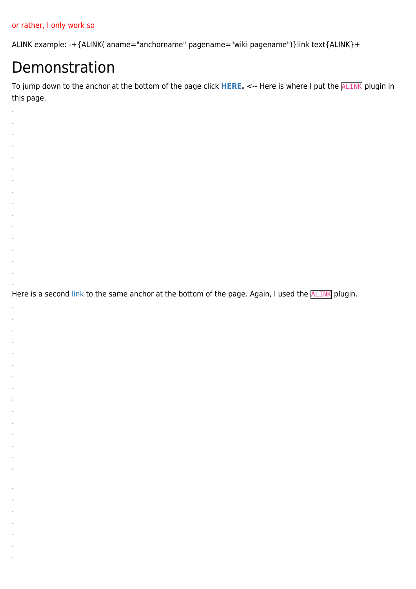#### or rather, I only work so

. . . . . . . . . . . . . . . .

. . . . . . . . . . . . . . .

. . . . . . .

ALINK example: -+{ALINK( aname="anchorname" pagename="wiki pagename")}link text{ALINK}+

#### Demonstration

To jump down to the anchor at the bottom of the page click [HERE](https://doc.tiki.org/PluginAname#myanchor). <-- Here is where I put the **ALINK** plugin in this page.

Here is a second [link](https://doc.tiki.org/PluginAname#myanchor) to the same anchor at the bottom of the page. Again, I used the **ALINK** plugin.